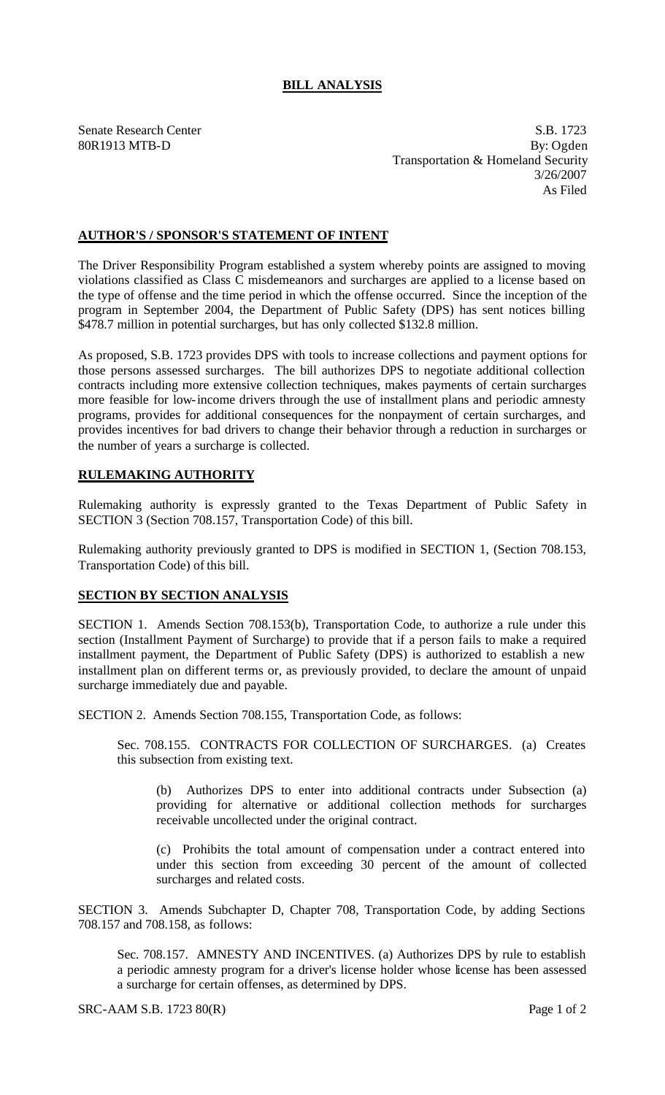## **BILL ANALYSIS**

Senate Research Center S.B. 1723 80R1913 MTB-D By: Ogden Transportation & Homeland Security 3/26/2007 As Filed

## **AUTHOR'S / SPONSOR'S STATEMENT OF INTENT**

The Driver Responsibility Program established a system whereby points are assigned to moving violations classified as Class C misdemeanors and surcharges are applied to a license based on the type of offense and the time period in which the offense occurred. Since the inception of the program in September 2004, the Department of Public Safety (DPS) has sent notices billing \$478.7 million in potential surcharges, but has only collected \$132.8 million.

As proposed, S.B. 1723 provides DPS with tools to increase collections and payment options for those persons assessed surcharges. The bill authorizes DPS to negotiate additional collection contracts including more extensive collection techniques, makes payments of certain surcharges more feasible for low-income drivers through the use of installment plans and periodic amnesty programs, provides for additional consequences for the nonpayment of certain surcharges, and provides incentives for bad drivers to change their behavior through a reduction in surcharges or the number of years a surcharge is collected.

## **RULEMAKING AUTHORITY**

Rulemaking authority is expressly granted to the Texas Department of Public Safety in SECTION 3 (Section 708.157, Transportation Code) of this bill.

Rulemaking authority previously granted to DPS is modified in SECTION 1, (Section 708.153, Transportation Code) of this bill.

## **SECTION BY SECTION ANALYSIS**

SECTION 1. Amends Section 708.153(b), Transportation Code, to authorize a rule under this section (Installment Payment of Surcharge) to provide that if a person fails to make a required installment payment, the Department of Public Safety (DPS) is authorized to establish a new installment plan on different terms or, as previously provided, to declare the amount of unpaid surcharge immediately due and payable.

SECTION 2. Amends Section 708.155, Transportation Code, as follows:

Sec. 708.155. CONTRACTS FOR COLLECTION OF SURCHARGES. (a) Creates this subsection from existing text.

(b) Authorizes DPS to enter into additional contracts under Subsection (a) providing for alternative or additional collection methods for surcharges receivable uncollected under the original contract.

(c) Prohibits the total amount of compensation under a contract entered into under this section from exceeding 30 percent of the amount of collected surcharges and related costs.

SECTION 3. Amends Subchapter D, Chapter 708, Transportation Code, by adding Sections 708.157 and 708.158, as follows:

Sec. 708.157. AMNESTY AND INCENTIVES. (a) Authorizes DPS by rule to establish a periodic amnesty program for a driver's license holder whose license has been assessed a surcharge for certain offenses, as determined by DPS.

SRC-AAM S.B. 1723 80(R) Page 1 of 2